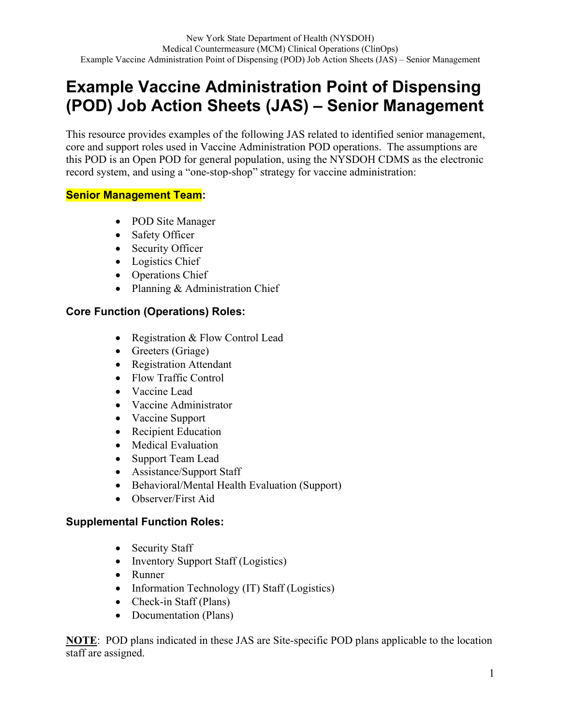# **Example Vaccine Administration Point of Dispensing (POD) Job Action Sheets (JAS) – Senior Management**

This resource provides examples of the following JAS related to identified senior management, core and support roles used in Vaccine Administration POD operations. The assumptions are this POD is an Open POD for general population, using the NYSDOH CDMS as the electronic record system, and using a "one-stop-shop" strategy for vaccine administration:

### **Senior Management Team:**

- POD Site Manager
- Safety Officer
- Security Officer
- Logistics Chief
- Operations Chief
- Planning & Administration Chief

## **Core Function (Operations) Roles:**

- Registration & Flow Control Lead
- Greeters (Griage)
- Registration Attendant
- Flow Traffic Control
- Vaccine Lead
- Vaccine Administrator
- Vaccine Support
- Recipient Education
- Medical Evaluation
- Support Team Lead
- Assistance/Support Staff
- Behavioral/Mental Health Evaluation (Support)
- Observer/First Aid

## **Supplemental Function Roles:**

- Security Staff
- Inventory Support Staff (Logistics)
- Runner
- Information Technology (IT) Staff (Logistics)
- Check-in Staff (Plans)
- Documentation (Plans)

**NOTE**: POD plans indicated in these JAS are Site-specific POD plans applicable to the location staff are assigned.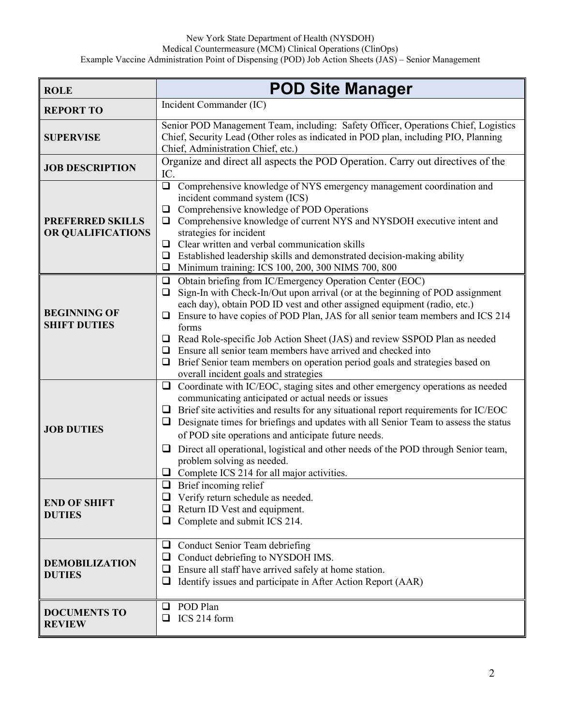| <b>ROLE</b>                                  | <b>POD Site Manager</b>                                                                                                                                                                                                                                                                                                                                                                                                                                                                                                                                                                                                  |
|----------------------------------------------|--------------------------------------------------------------------------------------------------------------------------------------------------------------------------------------------------------------------------------------------------------------------------------------------------------------------------------------------------------------------------------------------------------------------------------------------------------------------------------------------------------------------------------------------------------------------------------------------------------------------------|
| <b>REPORT TO</b>                             | Incident Commander (IC)                                                                                                                                                                                                                                                                                                                                                                                                                                                                                                                                                                                                  |
| <b>SUPERVISE</b>                             | Senior POD Management Team, including: Safety Officer, Operations Chief, Logistics<br>Chief, Security Lead (Other roles as indicated in POD plan, including PIO, Planning<br>Chief, Administration Chief, etc.)                                                                                                                                                                                                                                                                                                                                                                                                          |
| <b>JOB DESCRIPTION</b>                       | Organize and direct all aspects the POD Operation. Carry out directives of the<br>IC.                                                                                                                                                                                                                                                                                                                                                                                                                                                                                                                                    |
| <b>PREFERRED SKILLS</b><br>OR QUALIFICATIONS | Comprehensive knowledge of NYS emergency management coordination and<br>$\Box$<br>incident command system (ICS)<br>Comprehensive knowledge of POD Operations<br>❏<br>Comprehensive knowledge of current NYS and NYSDOH executive intent and<br>$\Box$<br>strategies for incident<br>$\Box$ Clear written and verbal communication skills<br>Established leadership skills and demonstrated decision-making ability<br>□<br>Minimum training: ICS 100, 200, 300 NIMS 700, 800<br>❏                                                                                                                                        |
| <b>BEGINNING OF</b><br><b>SHIFT DUTIES</b>   | Obtain briefing from IC/Emergency Operation Center (EOC)<br>$\Box$<br>Sign-In with Check-In/Out upon arrival (or at the beginning of POD assignment<br>❏<br>each day), obtain POD ID vest and other assigned equipment (radio, etc.)<br>Ensure to have copies of POD Plan, JAS for all senior team members and ICS 214<br>□<br>forms<br>Read Role-specific Job Action Sheet (JAS) and review SSPOD Plan as needed<br>Ensure all senior team members have arrived and checked into<br>$\Box$<br>Brief Senior team members on operation period goals and strategies based on<br>❏<br>overall incident goals and strategies |
| <b>JOB DUTIES</b>                            | Coordinate with IC/EOC, staging sites and other emergency operations as needed<br>$\Box$<br>communicating anticipated or actual needs or issues<br>$\Box$ Brief site activities and results for any situational report requirements for IC/EOC<br>Designate times for briefings and updates with all Senior Team to assess the status<br>❏<br>of POD site operations and anticipate future needs.<br>$\Box$ Direct all operational, logistical and other needs of the POD through Senior team,<br>problem solving as needed.<br>Complete ICS 214 for all major activities.<br>⊔                                          |
| <b>END OF SHIFT</b><br><b>DUTIES</b>         | $\Box$ Brief incoming relief<br>$\Box$ Verify return schedule as needed.<br>$\Box$ Return ID Vest and equipment.<br>❏<br>Complete and submit ICS 214.                                                                                                                                                                                                                                                                                                                                                                                                                                                                    |
| <b>DEMOBILIZATION</b><br><b>DUTIES</b>       | Conduct Senior Team debriefing<br>❏<br>Conduct debriefing to NYSDOH IMS.<br>⊔<br>Ensure all staff have arrived safely at home station.<br>$\Box$<br>Identify issues and participate in After Action Report (AAR)<br>❏                                                                                                                                                                                                                                                                                                                                                                                                    |
| <b>DOCUMENTS TO</b><br><b>REVIEW</b>         | POD Plan<br>❏<br>ICS 214 form<br>❏                                                                                                                                                                                                                                                                                                                                                                                                                                                                                                                                                                                       |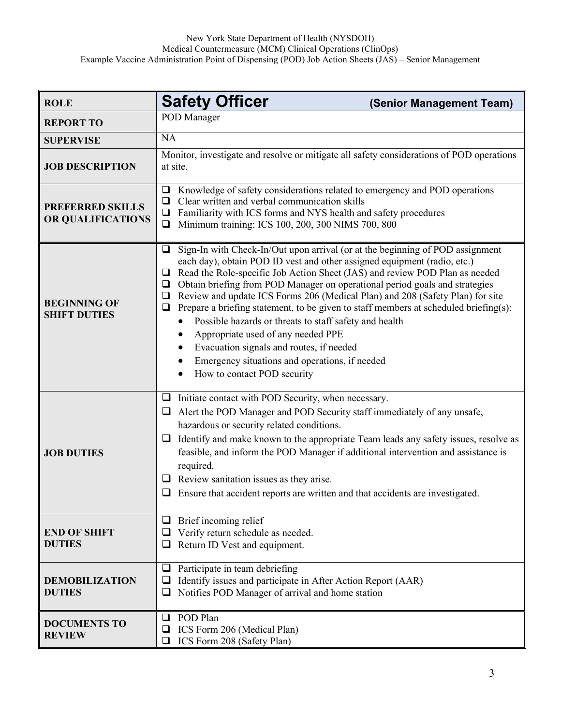| <b>ROLE</b>                                  | <b>Safety Officer</b><br>(Senior Management Team)                                                                                                                                                                                                                                                                                                                                                                                                                                                                                                                                                                                                                                                                                                                             |
|----------------------------------------------|-------------------------------------------------------------------------------------------------------------------------------------------------------------------------------------------------------------------------------------------------------------------------------------------------------------------------------------------------------------------------------------------------------------------------------------------------------------------------------------------------------------------------------------------------------------------------------------------------------------------------------------------------------------------------------------------------------------------------------------------------------------------------------|
| <b>REPORT TO</b>                             | POD Manager                                                                                                                                                                                                                                                                                                                                                                                                                                                                                                                                                                                                                                                                                                                                                                   |
| <b>SUPERVISE</b>                             | <b>NA</b>                                                                                                                                                                                                                                                                                                                                                                                                                                                                                                                                                                                                                                                                                                                                                                     |
| <b>JOB DESCRIPTION</b>                       | Monitor, investigate and resolve or mitigate all safety considerations of POD operations<br>at site.                                                                                                                                                                                                                                                                                                                                                                                                                                                                                                                                                                                                                                                                          |
| <b>PREFERRED SKILLS</b><br>OR QUALIFICATIONS | Knowledge of safety considerations related to emergency and POD operations<br>$\Box$<br>Clear written and verbal communication skills<br>❏<br>Familiarity with ICS forms and NYS health and safety procedures<br>□<br>Minimum training: ICS 100, 200, 300 NIMS 700, 800<br>□                                                                                                                                                                                                                                                                                                                                                                                                                                                                                                  |
| <b>BEGINNING OF</b><br><b>SHIFT DUTIES</b>   | Sign-In with Check-In/Out upon arrival (or at the beginning of POD assignment<br>$\Box$<br>each day), obtain POD ID vest and other assigned equipment (radio, etc.)<br>Read the Role-specific Job Action Sheet (JAS) and review POD Plan as needed<br>□<br>Obtain briefing from POD Manager on operational period goals and strategies<br>❏<br>Review and update ICS Forms 206 (Medical Plan) and 208 (Safety Plan) for site<br>❏<br>Prepare a briefing statement, to be given to staff members at scheduled briefing(s):<br>$\Box$<br>Possible hazards or threats to staff safety and health<br>Appropriate used of any needed PPE<br>Evacuation signals and routes, if needed<br>Emergency situations and operations, if needed<br>How to contact POD security<br>$\bullet$ |
| <b>JOB DUTIES</b>                            | $\Box$ Initiate contact with POD Security, when necessary.<br>Alert the POD Manager and POD Security staff immediately of any unsafe,<br>$\Box$<br>hazardous or security related conditions.<br>Identify and make known to the appropriate Team leads any safety issues, resolve as<br>⊔<br>feasible, and inform the POD Manager if additional intervention and assistance is<br>required.<br>$\Box$ Review sanitation issues as they arise.<br>$\Box$ Ensure that accident reports are written and that accidents are investigated.                                                                                                                                                                                                                                          |
| <b>END OF SHIFT</b><br><b>DUTIES</b>         | $\Box$ Brief incoming relief<br>$\Box$ Verify return schedule as needed.<br>Return ID Vest and equipment.<br>u.                                                                                                                                                                                                                                                                                                                                                                                                                                                                                                                                                                                                                                                               |
| <b>DEMOBILIZATION</b><br><b>DUTIES</b>       | Participate in team debriefing<br>❏<br>Identify issues and participate in After Action Report (AAR)<br>Notifies POD Manager of arrival and home station<br>⊔                                                                                                                                                                                                                                                                                                                                                                                                                                                                                                                                                                                                                  |
| <b>DOCUMENTS TO</b><br><b>REVIEW</b>         | POD Plan<br>❏<br>ICS Form 206 (Medical Plan)<br>⊔<br>ICS Form 208 (Safety Plan)                                                                                                                                                                                                                                                                                                                                                                                                                                                                                                                                                                                                                                                                                               |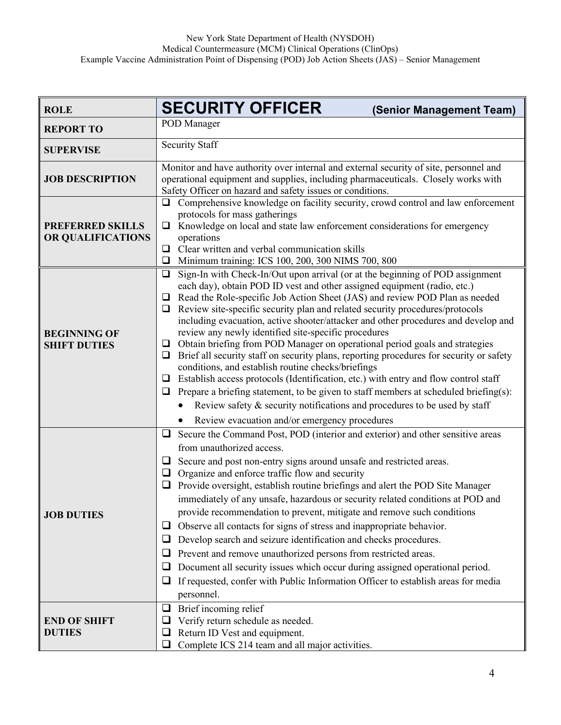| <b>ROLE</b>                                  | <b>SECURITY OFFICER</b><br>(Senior Management Team)                                                                                                                                                                                                                                                                                                                                                                                                                                                                                                                                                                                                                                                                                                                                                                                                                                                                                                                                                                                                              |
|----------------------------------------------|------------------------------------------------------------------------------------------------------------------------------------------------------------------------------------------------------------------------------------------------------------------------------------------------------------------------------------------------------------------------------------------------------------------------------------------------------------------------------------------------------------------------------------------------------------------------------------------------------------------------------------------------------------------------------------------------------------------------------------------------------------------------------------------------------------------------------------------------------------------------------------------------------------------------------------------------------------------------------------------------------------------------------------------------------------------|
| <b>REPORT TO</b>                             | POD Manager                                                                                                                                                                                                                                                                                                                                                                                                                                                                                                                                                                                                                                                                                                                                                                                                                                                                                                                                                                                                                                                      |
| <b>SUPERVISE</b>                             | <b>Security Staff</b>                                                                                                                                                                                                                                                                                                                                                                                                                                                                                                                                                                                                                                                                                                                                                                                                                                                                                                                                                                                                                                            |
| <b>JOB DESCRIPTION</b>                       | Monitor and have authority over internal and external security of site, personnel and<br>operational equipment and supplies, including pharmaceuticals. Closely works with<br>Safety Officer on hazard and safety issues or conditions.                                                                                                                                                                                                                                                                                                                                                                                                                                                                                                                                                                                                                                                                                                                                                                                                                          |
| <b>PREFERRED SKILLS</b><br>OR QUALIFICATIONS | Comprehensive knowledge on facility security, crowd control and law enforcement<br>❏<br>protocols for mass gatherings<br>Knowledge on local and state law enforcement considerations for emergency<br>❏<br>operations<br>Clear written and verbal communication skills<br>❏<br>Minimum training: ICS 100, 200, 300 NIMS 700, 800<br>❏                                                                                                                                                                                                                                                                                                                                                                                                                                                                                                                                                                                                                                                                                                                            |
| <b>BEGINNING OF</b><br><b>SHIFT DUTIES</b>   | Sign-In with Check-In/Out upon arrival (or at the beginning of POD assignment<br>❏<br>each day), obtain POD ID vest and other assigned equipment (radio, etc.)<br>Read the Role-specific Job Action Sheet (JAS) and review POD Plan as needed<br>⊔<br>Review site-specific security plan and related security procedures/protocols<br>⊔<br>including evacuation, active shooter/attacker and other procedures and develop and<br>review any newly identified site-specific procedures<br>Obtain briefing from POD Manager on operational period goals and strategies<br>$\Box$<br>Brief all security staff on security plans, reporting procedures for security or safety<br>❏<br>conditions, and establish routine checks/briefings<br>Establish access protocols (Identification, etc.) with entry and flow control staff<br>$\Box$<br>Prepare a briefing statement, to be given to staff members at scheduled briefing(s):<br>⊔<br>Review safety & security notifications and procedures to be used by staff<br>Review evacuation and/or emergency procedures |
| <b>JOB DUTIES</b>                            | Secure the Command Post, POD (interior and exterior) and other sensitive areas<br>$\Box$<br>from unauthorized access.<br>Secure and post non-entry signs around unsafe and restricted areas.<br>$\Box$<br>Organize and enforce traffic flow and security<br>❏<br>Provide oversight, establish routine briefings and alert the POD Site Manager<br>$\Box$<br>immediately of any unsafe, hazardous or security related conditions at POD and<br>provide recommendation to prevent, mitigate and remove such conditions<br>Observe all contacts for signs of stress and inappropriate behavior.<br>⊔<br>Develop search and seizure identification and checks procedures.<br>$\Box$<br>Prevent and remove unauthorized persons from restricted areas.<br>⊔<br>Document all security issues which occur during assigned operational period.<br>u<br>If requested, confer with Public Information Officer to establish areas for media<br>⊔<br>personnel.                                                                                                              |
| <b>END OF SHIFT</b><br><b>DUTIES</b>         | Brief incoming relief<br>❏<br>Verify return schedule as needed.<br>⊔<br>Return ID Vest and equipment.<br>$\Box$<br>Complete ICS 214 team and all major activities.<br>u                                                                                                                                                                                                                                                                                                                                                                                                                                                                                                                                                                                                                                                                                                                                                                                                                                                                                          |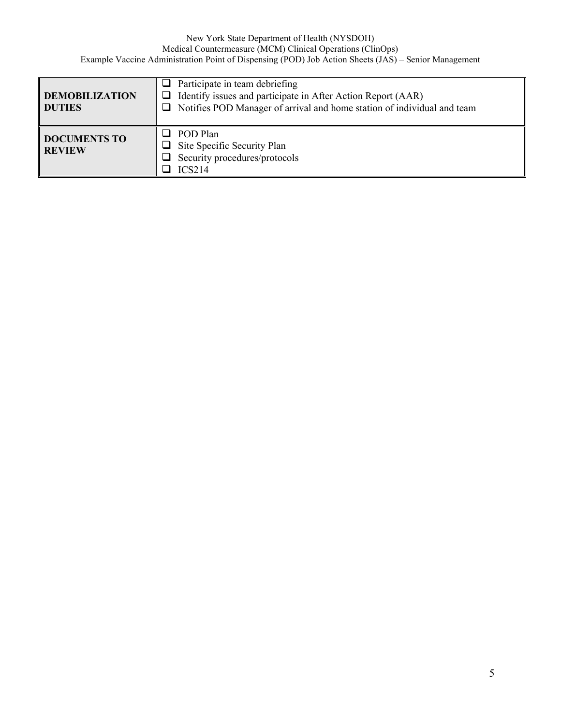| <b>DEMOBILIZATION</b><br><b>DUTIES</b> | $\Box$ Participate in team debriefing<br>$\Box$ Identify issues and participate in After Action Report (AAR)<br>$\Box$ Notifies POD Manager of arrival and home station of individual and team |
|----------------------------------------|------------------------------------------------------------------------------------------------------------------------------------------------------------------------------------------------|
| <b>DOCUMENTS TO</b><br><b>REVIEW</b>   | POD Plan<br>Site Specific Security Plan<br>Security procedures/protocols<br>ICS214                                                                                                             |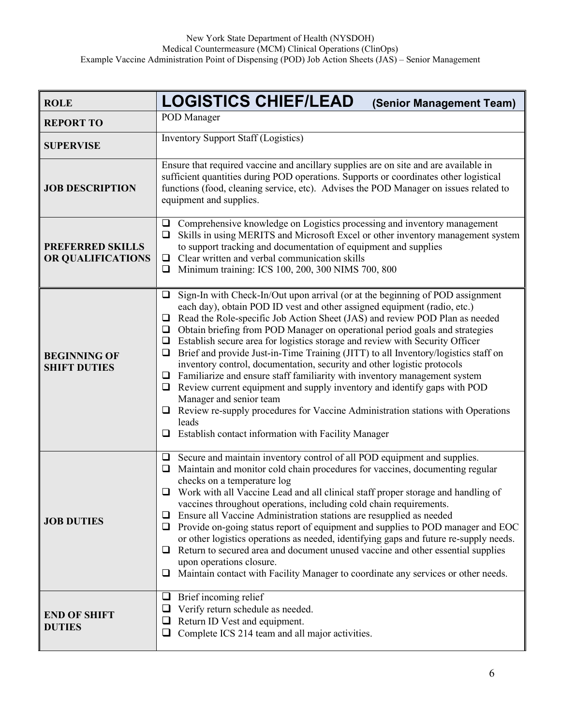| <b>ROLE</b>                                  | <b>LOGISTICS CHIEF/LEAD</b><br>(Senior Management Team)                                                                                                                                                                                                                                                                                                                                                                                                                                                                                                                                                                                                                                                                                                                                                                                                                                                                                                        |
|----------------------------------------------|----------------------------------------------------------------------------------------------------------------------------------------------------------------------------------------------------------------------------------------------------------------------------------------------------------------------------------------------------------------------------------------------------------------------------------------------------------------------------------------------------------------------------------------------------------------------------------------------------------------------------------------------------------------------------------------------------------------------------------------------------------------------------------------------------------------------------------------------------------------------------------------------------------------------------------------------------------------|
| <b>REPORT TO</b>                             | POD Manager                                                                                                                                                                                                                                                                                                                                                                                                                                                                                                                                                                                                                                                                                                                                                                                                                                                                                                                                                    |
| <b>SUPERVISE</b>                             | <b>Inventory Support Staff (Logistics)</b>                                                                                                                                                                                                                                                                                                                                                                                                                                                                                                                                                                                                                                                                                                                                                                                                                                                                                                                     |
| <b>JOB DESCRIPTION</b>                       | Ensure that required vaccine and ancillary supplies are on site and are available in<br>sufficient quantities during POD operations. Supports or coordinates other logistical<br>functions (food, cleaning service, etc). Advises the POD Manager on issues related to<br>equipment and supplies.                                                                                                                                                                                                                                                                                                                                                                                                                                                                                                                                                                                                                                                              |
| <b>PREFERRED SKILLS</b><br>OR QUALIFICATIONS | Comprehensive knowledge on Logistics processing and inventory management<br>⊔<br>Skills in using MERITS and Microsoft Excel or other inventory management system<br>⊔<br>to support tracking and documentation of equipment and supplies<br>Clear written and verbal communication skills<br>$\Box$<br>Minimum training: ICS 100, 200, 300 NIMS 700, 800<br>❏                                                                                                                                                                                                                                                                                                                                                                                                                                                                                                                                                                                                  |
| <b>BEGINNING OF</b><br><b>SHIFT DUTIES</b>   | Sign-In with Check-In/Out upon arrival (or at the beginning of POD assignment<br>❏<br>each day), obtain POD ID vest and other assigned equipment (radio, etc.)<br>$\Box$ Read the Role-specific Job Action Sheet (JAS) and review POD Plan as needed<br>$\Box$ Obtain briefing from POD Manager on operational period goals and strategies<br>$\Box$ Establish secure area for logistics storage and review with Security Officer<br>Brief and provide Just-in-Time Training (JITT) to all Inventory/logistics staff on<br>❏<br>inventory control, documentation, security and other logistic protocols<br>Familiarize and ensure staff familiarity with inventory management system<br>□<br>Review current equipment and supply inventory and identify gaps with POD<br>Q.<br>Manager and senior team<br>Review re-supply procedures for Vaccine Administration stations with Operations<br>leads<br>Establish contact information with Facility Manager<br>❏ |
| <b>JOB DUTIES</b>                            | Secure and maintain inventory control of all POD equipment and supplies.<br>Maintain and monitor cold chain procedures for vaccines, documenting regular<br>❏<br>checks on a temperature log<br>$\Box$ Work with all Vaccine Lead and all clinical staff proper storage and handling of<br>vaccines throughout operations, including cold chain requirements.<br>Ensure all Vaccine Administration stations are resupplied as needed<br>❏<br>Provide on-going status report of equipment and supplies to POD manager and EOC<br>Q.<br>or other logistics operations as needed, identifying gaps and future re-supply needs.<br>Return to secured area and document unused vaccine and other essential supplies<br>u<br>upon operations closure.<br>Maintain contact with Facility Manager to coordinate any services or other needs.<br>⊔                                                                                                                      |
| <b>END OF SHIFT</b><br><b>DUTIES</b>         | Brief incoming relief<br>⊔<br>Verify return schedule as needed.<br>⊔<br>Return ID Vest and equipment.<br>⊔<br>Complete ICS 214 team and all major activities.<br>$\Box$                                                                                                                                                                                                                                                                                                                                                                                                                                                                                                                                                                                                                                                                                                                                                                                        |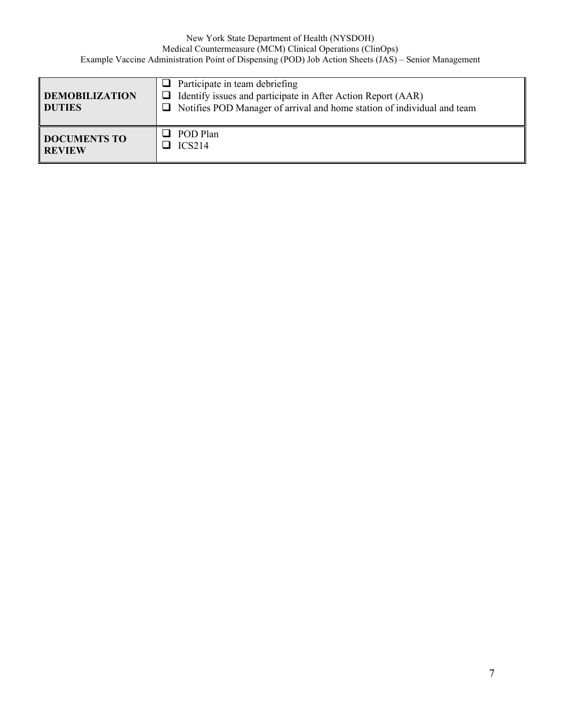| <b>DEMOBILIZATION</b><br><b>DUTIES</b> | Participate in team debriefing<br>$\Box$ Identify issues and participate in After Action Report (AAR)<br>$\Box$ Notifies POD Manager of arrival and home station of individual and team |
|----------------------------------------|-----------------------------------------------------------------------------------------------------------------------------------------------------------------------------------------|
| <b>DOCUMENTS TO</b>                    | POD Plan                                                                                                                                                                                |
| <b>REVIEW</b>                          | ICS214                                                                                                                                                                                  |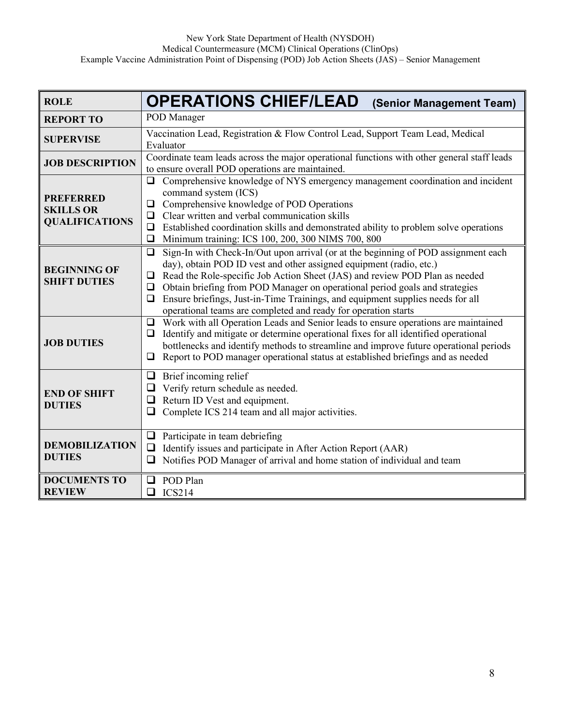| <b>ROLE</b>                                                   | <b>OPERATIONS CHIEF/LEAD</b><br>(Senior Management Team)                                                                                                                                                                                                                                                                                                                                                                                                                                                            |
|---------------------------------------------------------------|---------------------------------------------------------------------------------------------------------------------------------------------------------------------------------------------------------------------------------------------------------------------------------------------------------------------------------------------------------------------------------------------------------------------------------------------------------------------------------------------------------------------|
| <b>REPORT TO</b>                                              | POD Manager                                                                                                                                                                                                                                                                                                                                                                                                                                                                                                         |
| <b>SUPERVISE</b>                                              | Vaccination Lead, Registration & Flow Control Lead, Support Team Lead, Medical<br>Evaluator                                                                                                                                                                                                                                                                                                                                                                                                                         |
| <b>JOB DESCRIPTION</b>                                        | Coordinate team leads across the major operational functions with other general staff leads<br>to ensure overall POD operations are maintained.                                                                                                                                                                                                                                                                                                                                                                     |
| <b>PREFERRED</b><br><b>SKILLS OR</b><br><b>QUALIFICATIONS</b> | Comprehensive knowledge of NYS emergency management coordination and incident<br>$\Box$<br>command system (ICS)<br>Comprehensive knowledge of POD Operations<br>$\Box$<br>Clear written and verbal communication skills<br>❏<br>Established coordination skills and demonstrated ability to problem solve operations<br>❏<br>Minimum training: ICS 100, 200, 300 NIMS 700, 800<br>❏                                                                                                                                 |
| <b>BEGINNING OF</b><br><b>SHIFT DUTIES</b>                    | Sign-In with Check-In/Out upon arrival (or at the beginning of POD assignment each<br>$\Box$<br>day), obtain POD ID vest and other assigned equipment (radio, etc.)<br>Read the Role-specific Job Action Sheet (JAS) and review POD Plan as needed<br>$\Box$<br>Obtain briefing from POD Manager on operational period goals and strategies<br>$\Box$<br>Ensure briefings, Just-in-Time Trainings, and equipment supplies needs for all<br>$\Box$<br>operational teams are completed and ready for operation starts |
| <b>JOB DUTIES</b>                                             | Work with all Operation Leads and Senior leads to ensure operations are maintained<br>$\Box$<br>Identify and mitigate or determine operational fixes for all identified operational<br>❏<br>bottlenecks and identify methods to streamline and improve future operational periods<br>Report to POD manager operational status at established briefings and as needed<br>$\Box$                                                                                                                                      |
| <b>END OF SHIFT</b><br><b>DUTIES</b>                          | Brief incoming relief<br>❏<br>Verify return schedule as needed.<br>❏<br>Return ID Vest and equipment.<br>❏<br>Complete ICS 214 team and all major activities.<br>$\Box$                                                                                                                                                                                                                                                                                                                                             |
| <b>DEMOBILIZATION</b><br><b>DUTIES</b>                        | Participate in team debriefing<br>$\Box$<br>Identify issues and participate in After Action Report (AAR)<br>❏<br>Notifies POD Manager of arrival and home station of individual and team<br>❏                                                                                                                                                                                                                                                                                                                       |
| <b>DOCUMENTS TO</b><br><b>REVIEW</b>                          | POD Plan<br>ப<br><b>ICS214</b><br>❏                                                                                                                                                                                                                                                                                                                                                                                                                                                                                 |